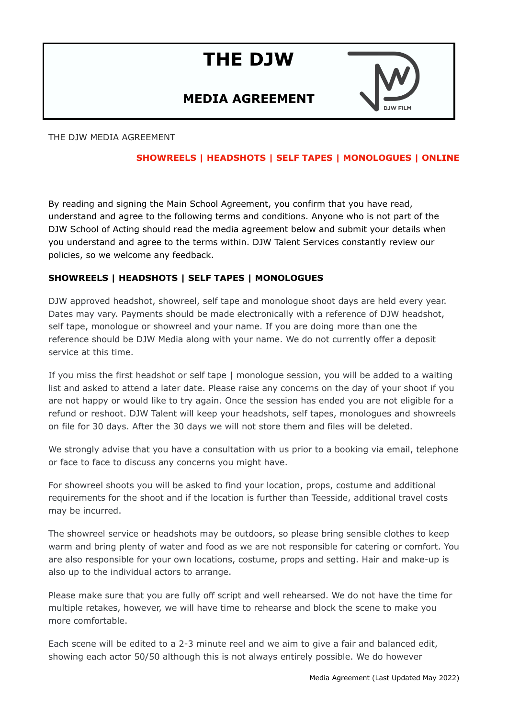# **THE DJW**

# **MEDIA AGREEMENT**



THE DJW MEDIA AGREEMENT

# **SHOWREELS | HEADSHOTS | SELF TAPES | MONOLOGUES | ONLINE**

By reading and signing the Main School Agreement, you confirm that you have read, understand and agree to the following terms and conditions. Anyone who is not part of the DJW School of Acting should read the media agreement below and submit your details when you understand and agree to the terms within. DJW Talent Services constantly review our policies, so we welcome any feedback.

## **SHOWREELS | HEADSHOTS | SELF TAPES | MONOLOGUES**

DJW approved headshot, showreel, self tape and monologue shoot days are held every year. Dates may vary. Payments should be made electronically with a reference of DJW headshot, self tape, monologue or showreel and your name. If you are doing more than one the reference should be DJW Media along with your name. We do not currently offer a deposit service at this time.

If you miss the first headshot or self tape | monologue session, you will be added to a waiting list and asked to attend a later date. Please raise any concerns on the day of your shoot if you are not happy or would like to try again. Once the session has ended you are not eligible for a refund or reshoot. DJW Talent will keep your headshots, self tapes, monologues and showreels on file for 30 days. After the 30 days we will not store them and files will be deleted.

We strongly advise that you have a consultation with us prior to a booking via email, telephone or face to face to discuss any concerns you might have.

For showreel shoots you will be asked to find your location, props, costume and additional requirements for the shoot and if the location is further than Teesside, additional travel costs may be incurred.

The showreel service or headshots may be outdoors, so please bring sensible clothes to keep warm and bring plenty of water and food as we are not responsible for catering or comfort. You are also responsible for your own locations, costume, props and setting. Hair and make-up is also up to the individual actors to arrange.

Please make sure that you are fully off script and well rehearsed. We do not have the time for multiple retakes, however, we will have time to rehearse and block the scene to make you more comfortable.

Each scene will be edited to a 2-3 minute reel and we aim to give a fair and balanced edit, showing each actor 50/50 although this is not always entirely possible. We do however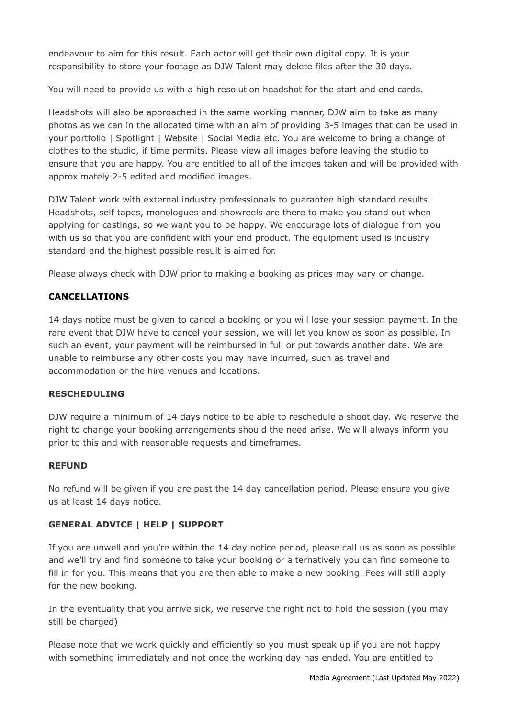endeavour to aim for this result. Each actor will get their own digital copy. It is your responsibility to store your footage as DJW Talent may delete files after the 30 days.

You will need to provide us with a high resolution headshot for the start and end cards.

Headshots will also be approached in the same working manner, DJW aim to take as many photos as we can in the allocated time with an aim of providing 3-5 images that can be used in your portfolio | Spotlight | Website | Social Media etc. You are welcome to bring a change of clothes to the studio, if time permits. Please view all images before leaving the studio to ensure that you are happy. You are entitled to all of the images taken and will be provided with approximately 2-5 edited and modified images.

DJW Talent work with external industry professionals to guarantee high standard results. Headshots, self tapes, monologues and showreels are there to make you stand out when applying for castings, so we want you to be happy. We encourage lots of dialogue from you with us so that you are confident with your end product. The equipment used is industry standard and the highest possible result is aimed for.

Please always check with DJW prior to making a booking as prices may vary or change.

## **CANCELLATIONS**

14 days notice must be given to cancel a booking or you will lose your session payment. In the rare event that DJW have to cancel your session, we will let you know as soon as possible. In such an event, your payment will be reimbursed in full or put towards another date. We are unable to reimburse any other costs you may have incurred, such as travel and accommodation or the hire venues and locations.

#### **RESCHEDULING**

DJW require a minimum of 14 days notice to be able to reschedule a shoot day. We reserve the right to change your booking arrangements should the need arise. We will always inform you prior to this and with reasonable requests and timeframes.

#### **REFUND**

No refund will be given if you are past the 14 day cancellation period. Please ensure you give us at least 14 days notice.

#### **GENERAL ADVICE | HELP | SUPPORT**

If you are unwell and you're within the 14 day notice period, please call us as soon as possible and we'll try and find someone to take your booking or alternatively you can find someone to fill in for you. This means that you are then able to make a new booking. Fees will still apply for the new booking.

In the eventuality that you arrive sick, we reserve the right not to hold the session (you may still be charged)

Please note that we work quickly and efficiently so you must speak up if you are not happy with something immediately and not once the working day has ended. You are entitled to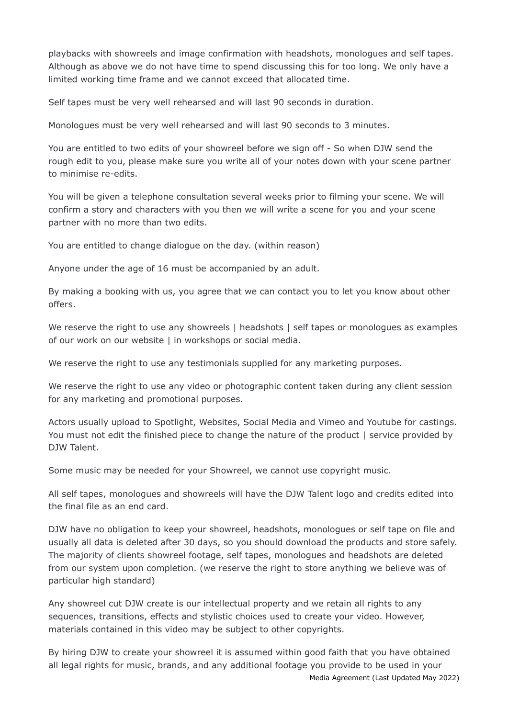playbacks with showreels and image confirmation with headshots, monologues and self tapes. Although as above we do not have time to spend discussing this for too long. We only have a limited working time frame and we cannot exceed that allocated time.

Self tapes must be very well rehearsed and will last 90 seconds in duration.

Monologues must be very well rehearsed and will last 90 seconds to 3 minutes.

You are entitled to two edits of your showreel before we sign off - So when DJW send the rough edit to you, please make sure you write all of your notes down with your scene partner to minimise re-edits.

You will be given a telephone consultation several weeks prior to filming your scene. We will confirm a story and characters with you then we will write a scene for you and your scene partner with no more than two edits.

You are entitled to change dialogue on the day. (within reason)

Anyone under the age of 16 must be accompanied by an adult.

By making a booking with us, you agree that we can contact you to let you know about other offers.

We reserve the right to use any showreels | headshots | self tapes or monologues as examples of our work on our website | in workshops or social media.

We reserve the right to use any testimonials supplied for any marketing purposes.

We reserve the right to use any video or photographic content taken during any client session for any marketing and promotional purposes.

Actors usually upload to Spotlight, Websites, Social Media and Vimeo and Youtube for castings. You must not edit the finished piece to change the nature of the product | service provided by DJW Talent.

Some music may be needed for your Showreel, we cannot use copyright music.

All self tapes, monologues and showreels will have the DJW Talent logo and credits edited into the final file as an end card.

DJW have no obligation to keep your showreel, headshots, monologues or self tape on file and usually all data is deleted after 30 days, so you should download the products and store safely. The majority of clients showreel footage, self tapes, monologues and headshots are deleted from our system upon completion. (we reserve the right to store anything we believe was of particular high standard)

Any showreel cut DJW create is our intellectual property and we retain all rights to any sequences, transitions, effects and stylistic choices used to create your video. However, materials contained in this video may be subject to other copyrights.

By hiring DJW to create your showreel it is assumed within good faith that you have obtained all legal rights for music, brands, and any additional footage you provide to be used in your Media Agreement (Last Updated May 2022)